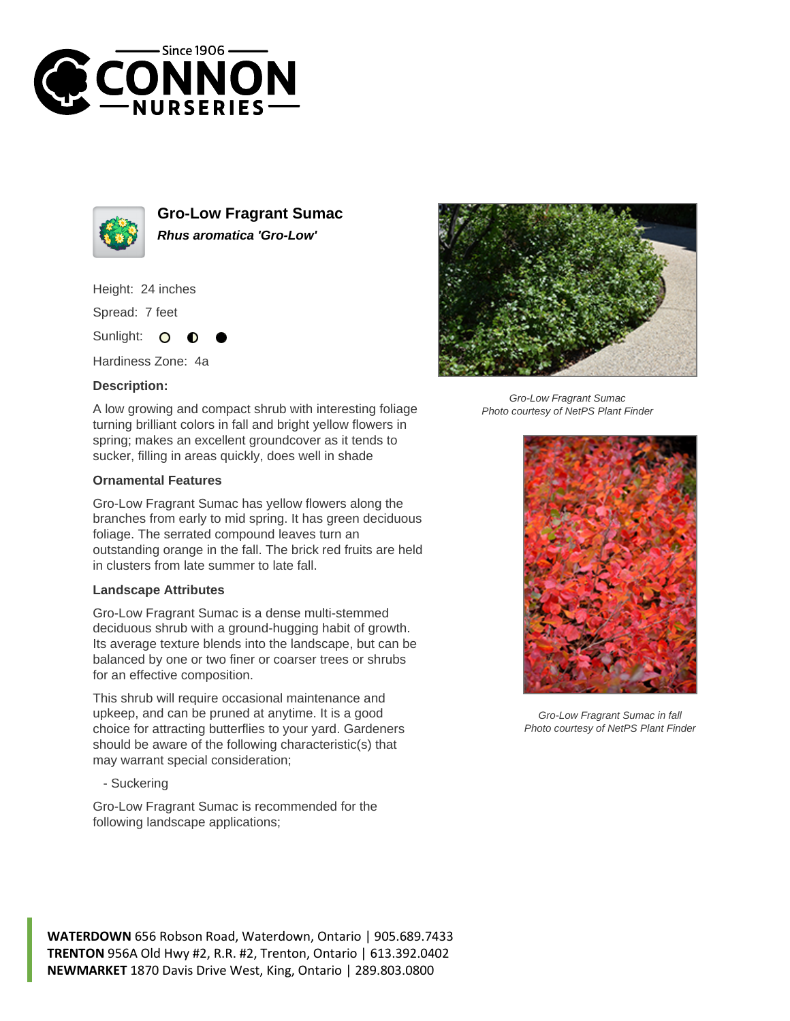



**Gro-Low Fragrant Sumac Rhus aromatica 'Gro-Low'**

Height: 24 inches

Spread: 7 feet

Sunlight:  $\Omega$ 

Hardiness Zone: 4a

## **Description:**

A low growing and compact shrub with interesting foliage turning brilliant colors in fall and bright yellow flowers in spring; makes an excellent groundcover as it tends to sucker, filling in areas quickly, does well in shade

## **Ornamental Features**

Gro-Low Fragrant Sumac has yellow flowers along the branches from early to mid spring. It has green deciduous foliage. The serrated compound leaves turn an outstanding orange in the fall. The brick red fruits are held in clusters from late summer to late fall.

## **Landscape Attributes**

Gro-Low Fragrant Sumac is a dense multi-stemmed deciduous shrub with a ground-hugging habit of growth. Its average texture blends into the landscape, but can be balanced by one or two finer or coarser trees or shrubs for an effective composition.

This shrub will require occasional maintenance and upkeep, and can be pruned at anytime. It is a good choice for attracting butterflies to your yard. Gardeners should be aware of the following characteristic(s) that may warrant special consideration;

- Suckering

Gro-Low Fragrant Sumac is recommended for the following landscape applications;



Gro-Low Fragrant Sumac Photo courtesy of NetPS Plant Finder



Gro-Low Fragrant Sumac in fall Photo courtesy of NetPS Plant Finder

**WATERDOWN** 656 Robson Road, Waterdown, Ontario | 905.689.7433 **TRENTON** 956A Old Hwy #2, R.R. #2, Trenton, Ontario | 613.392.0402 **NEWMARKET** 1870 Davis Drive West, King, Ontario | 289.803.0800